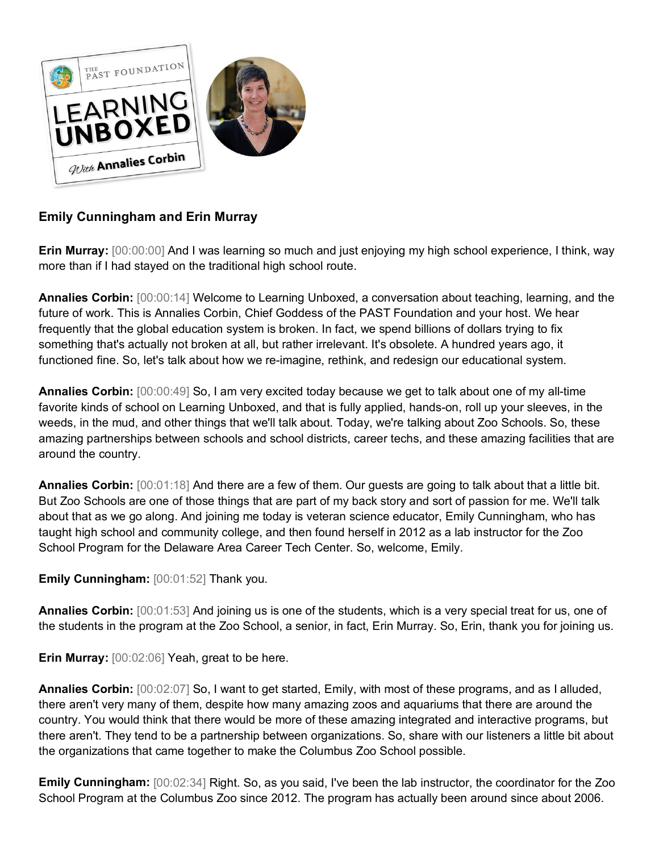

# **Emily Cunningham and Erin Murray**

**Erin Murray:** [00:00:00] And I was learning so much and just enjoying my high school experience, I think, way more than if I had stayed on the traditional high school route.

**Annalies Corbin:** [00:00:14] Welcome to Learning Unboxed, a conversation about teaching, learning, and the future of work. This is Annalies Corbin, Chief Goddess of the PAST Foundation and your host. We hear frequently that the global education system is broken. In fact, we spend billions of dollars trying to fix something that's actually not broken at all, but rather irrelevant. It's obsolete. A hundred years ago, it functioned fine. So, let's talk about how we re-imagine, rethink, and redesign our educational system.

**Annalies Corbin:** [00:00:49] So, I am very excited today because we get to talk about one of my all-time favorite kinds of school on Learning Unboxed, and that is fully applied, hands-on, roll up your sleeves, in the weeds, in the mud, and other things that we'll talk about. Today, we're talking about Zoo Schools. So, these amazing partnerships between schools and school districts, career techs, and these amazing facilities that are around the country.

**Annalies Corbin:** [00:01:18] And there are a few of them. Our guests are going to talk about that a little bit. But Zoo Schools are one of those things that are part of my back story and sort of passion for me. We'll talk about that as we go along. And joining me today is veteran science educator, Emily Cunningham, who has taught high school and community college, and then found herself in 2012 as a lab instructor for the Zoo School Program for the Delaware Area Career Tech Center. So, welcome, Emily.

**Emily Cunningham:** [00:01:52] Thank you.

**Annalies Corbin:** [00:01:53] And joining us is one of the students, which is a very special treat for us, one of the students in the program at the Zoo School, a senior, in fact, Erin Murray. So, Erin, thank you for joining us.

**Erin Murray:** [00:02:06] Yeah, great to be here.

**Annalies Corbin:** [00:02:07] So, I want to get started, Emily, with most of these programs, and as I alluded, there aren't very many of them, despite how many amazing zoos and aquariums that there are around the country. You would think that there would be more of these amazing integrated and interactive programs, but there aren't. They tend to be a partnership between organizations. So, share with our listeners a little bit about the organizations that came together to make the Columbus Zoo School possible.

**Emily Cunningham:** [00:02:34] Right. So, as you said, I've been the lab instructor, the coordinator for the Zoo School Program at the Columbus Zoo since 2012. The program has actually been around since about 2006.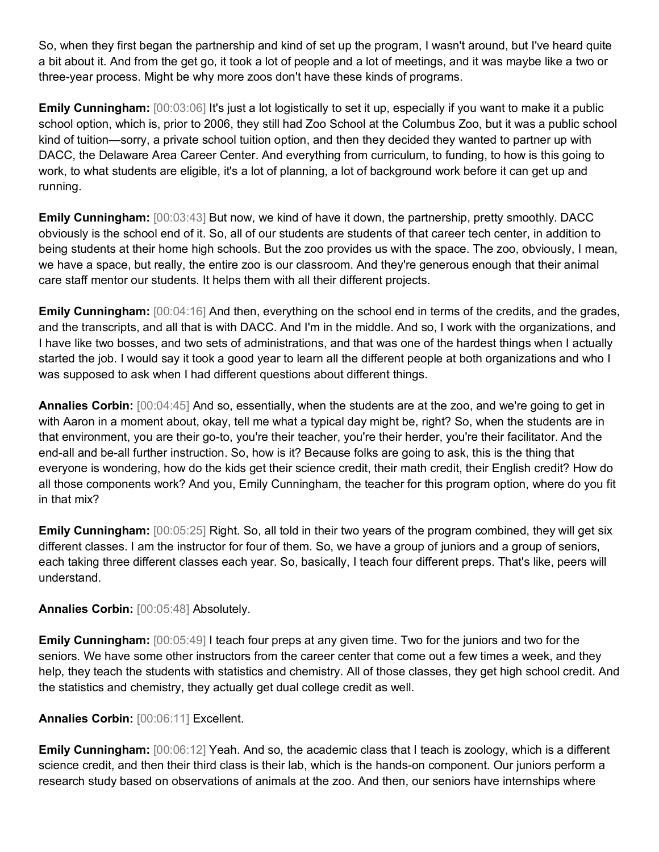So, when they first began the partnership and kind of set up the program, I wasn't around, but I've heard quite a bit about it. And from the get go, it took a lot of people and a lot of meetings, and it was maybe like a two or three-year process. Might be why more zoos don't have these kinds of programs.

**Emily Cunningham:** [00:03:06] It's just a lot logistically to set it up, especially if you want to make it a public school option, which is, prior to 2006, they still had Zoo School at the Columbus Zoo, but it was a public school kind of tuition—sorry, a private school tuition option, and then they decided they wanted to partner up with DACC, the Delaware Area Career Center. And everything from curriculum, to funding, to how is this going to work, to what students are eligible, it's a lot of planning, a lot of background work before it can get up and running.

**Emily Cunningham:**  $[00:03:43]$  But now, we kind of have it down, the partnership, pretty smoothly. DACC obviously is the school end of it. So, all of our students are students of that career tech center, in addition to being students at their home high schools. But the zoo provides us with the space. The zoo, obviously, I mean, we have a space, but really, the entire zoo is our classroom. And they're generous enough that their animal care staff mentor our students. It helps them with all their different projects.

**Emily Cunningham:**  $[00:04:16]$  And then, everything on the school end in terms of the credits, and the grades, and the transcripts, and all that is with DACC. And I'm in the middle. And so, I work with the organizations, and I have like two bosses, and two sets of administrations, and that was one of the hardest things when I actually started the job. I would say it took a good year to learn all the different people at both organizations and who I was supposed to ask when I had different questions about different things.

**Annalies Corbin:** [00:04:45] And so, essentially, when the students are at the zoo, and we're going to get in with Aaron in a moment about, okay, tell me what a typical day might be, right? So, when the students are in that environment, you are their go-to, you're their teacher, you're their herder, you're their facilitator. And the end-all and be-all further instruction. So, how is it? Because folks are going to ask, this is the thing that everyone is wondering, how do the kids get their science credit, their math credit, their English credit? How do all those components work? And you, Emily Cunningham, the teacher for this program option, where do you fit in that mix?

**Emily Cunningham:**  $[00:05:25]$  Right. So, all told in their two years of the program combined, they will get six different classes. I am the instructor for four of them. So, we have a group of juniors and a group of seniors, each taking three different classes each year. So, basically, I teach four different preps. That's like, peers will understand.

## **Annalies Corbin:** [00:05:48] Absolutely.

**Emily Cunningham:** [00:05:49] I teach four preps at any given time. Two for the juniors and two for the seniors. We have some other instructors from the career center that come out a few times a week, and they help, they teach the students with statistics and chemistry. All of those classes, they get high school credit. And the statistics and chemistry, they actually get dual college credit as well.

## **Annalies Corbin:** [00:06:11] Excellent.

**Emily Cunningham:**  $[00:06:12]$  Yeah. And so, the academic class that I teach is zoology, which is a different science credit, and then their third class is their lab, which is the hands-on component. Our juniors perform a research study based on observations of animals at the zoo. And then, our seniors have internships where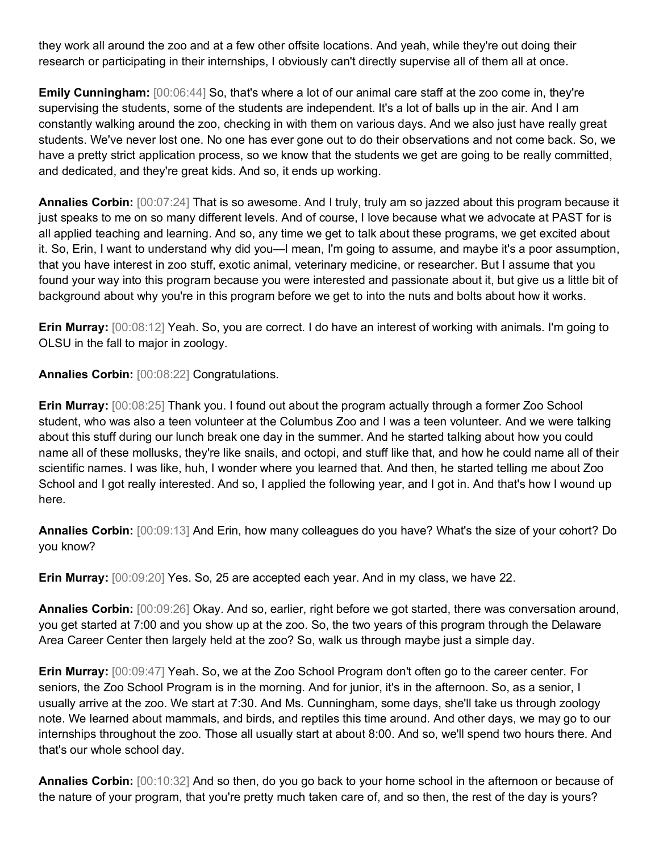they work all around the zoo and at a few other offsite locations. And yeah, while they're out doing their research or participating in their internships, I obviously can't directly supervise all of them all at once.

**Emily Cunningham:**  $[00:06:44]$  So, that's where a lot of our animal care staff at the zoo come in, they're supervising the students, some of the students are independent. It's a lot of balls up in the air. And I am constantly walking around the zoo, checking in with them on various days. And we also just have really great students. We've never lost one. No one has ever gone out to do their observations and not come back. So, we have a pretty strict application process, so we know that the students we get are going to be really committed, and dedicated, and they're great kids. And so, it ends up working.

**Annalies Corbin:** [00:07:24] That is so awesome. And I truly, truly am so jazzed about this program because it just speaks to me on so many different levels. And of course, I love because what we advocate at PAST for is all applied teaching and learning. And so, any time we get to talk about these programs, we get excited about it. So, Erin, I want to understand why did you—I mean, I'm going to assume, and maybe it's a poor assumption, that you have interest in zoo stuff, exotic animal, veterinary medicine, or researcher. But I assume that you found your way into this program because you were interested and passionate about it, but give us a little bit of background about why you're in this program before we get to into the nuts and bolts about how it works.

**Erin Murray:** [00:08:12] Yeah. So, you are correct. I do have an interest of working with animals. I'm going to OLSU in the fall to major in zoology.

**Annalies Corbin:** [00:08:22] Congratulations.

**Erin Murray:** [00:08:25] Thank you. I found out about the program actually through a former Zoo School student, who was also a teen volunteer at the Columbus Zoo and I was a teen volunteer. And we were talking about this stuff during our lunch break one day in the summer. And he started talking about how you could name all of these mollusks, they're like snails, and octopi, and stuff like that, and how he could name all of their scientific names. I was like, huh, I wonder where you learned that. And then, he started telling me about Zoo School and I got really interested. And so, I applied the following year, and I got in. And that's how I wound up here.

**Annalies Corbin:** [00:09:13] And Erin, how many colleagues do you have? What's the size of your cohort? Do you know?

**Erin Murray:** [00:09:20] Yes. So, 25 are accepted each year. And in my class, we have 22.

**Annalies Corbin:** [00:09:26] Okay. And so, earlier, right before we got started, there was conversation around, you get started at 7:00 and you show up at the zoo. So, the two years of this program through the Delaware Area Career Center then largely held at the zoo? So, walk us through maybe just a simple day.

**Erin Murray:** [00:09:47] Yeah. So, we at the Zoo School Program don't often go to the career center. For seniors, the Zoo School Program is in the morning. And for junior, it's in the afternoon. So, as a senior, I usually arrive at the zoo. We start at 7:30. And Ms. Cunningham, some days, she'll take us through zoology note. We learned about mammals, and birds, and reptiles this time around. And other days, we may go to our internships throughout the zoo. Those all usually start at about 8:00. And so, we'll spend two hours there. And that's our whole school day.

**Annalies Corbin:** [00:10:32] And so then, do you go back to your home school in the afternoon or because of the nature of your program, that you're pretty much taken care of, and so then, the rest of the day is yours?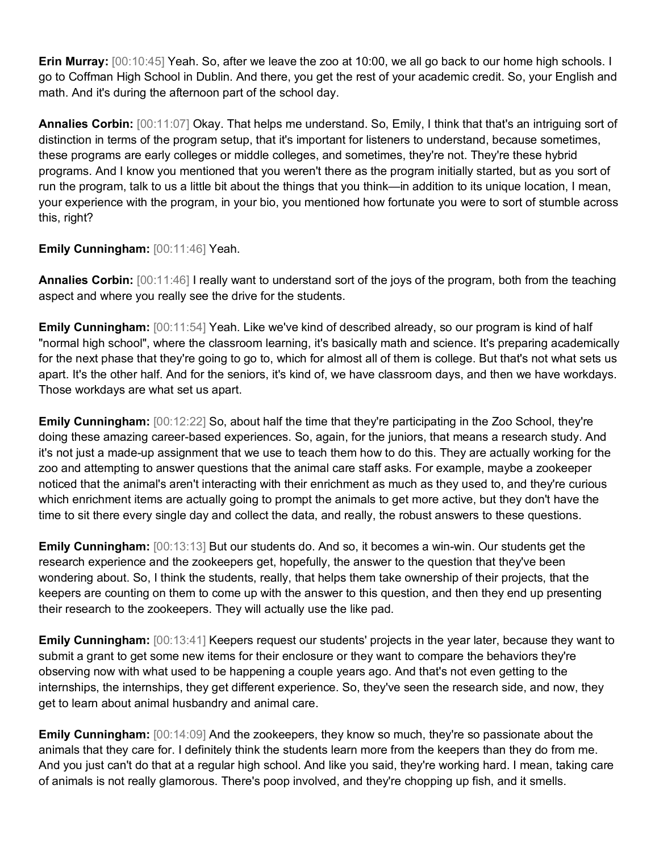**Erin Murray:** [00:10:45] Yeah. So, after we leave the zoo at 10:00, we all go back to our home high schools. I go to Coffman High School in Dublin. And there, you get the rest of your academic credit. So, your English and math. And it's during the afternoon part of the school day.

**Annalies Corbin:** [00:11:07] Okay. That helps me understand. So, Emily, I think that that's an intriguing sort of distinction in terms of the program setup, that it's important for listeners to understand, because sometimes, these programs are early colleges or middle colleges, and sometimes, they're not. They're these hybrid programs. And I know you mentioned that you weren't there as the program initially started, but as you sort of run the program, talk to us a little bit about the things that you think—in addition to its unique location, I mean, your experience with the program, in your bio, you mentioned how fortunate you were to sort of stumble across this, right?

**Emily Cunningham:** [00:11:46] Yeah.

**Annalies Corbin:** [00:11:46] I really want to understand sort of the joys of the program, both from the teaching aspect and where you really see the drive for the students.

**Emily Cunningham:**  $[00:11:54]$  Yeah. Like we've kind of described already, so our program is kind of half "normal high school", where the classroom learning, it's basically math and science. It's preparing academically for the next phase that they're going to go to, which for almost all of them is college. But that's not what sets us apart. It's the other half. And for the seniors, it's kind of, we have classroom days, and then we have workdays. Those workdays are what set us apart.

**Emily Cunningham:** [00:12:22] So, about half the time that they're participating in the Zoo School, they're doing these amazing career-based experiences. So, again, for the juniors, that means a research study. And it's not just a made-up assignment that we use to teach them how to do this. They are actually working for the zoo and attempting to answer questions that the animal care staff asks. For example, maybe a zookeeper noticed that the animal's aren't interacting with their enrichment as much as they used to, and they're curious which enrichment items are actually going to prompt the animals to get more active, but they don't have the time to sit there every single day and collect the data, and really, the robust answers to these questions.

**Emily Cunningham:** [00:13:13] But our students do. And so, it becomes a win-win. Our students get the research experience and the zookeepers get, hopefully, the answer to the question that they've been wondering about. So, I think the students, really, that helps them take ownership of their projects, that the keepers are counting on them to come up with the answer to this question, and then they end up presenting their research to the zookeepers. They will actually use the like pad.

**Emily Cunningham:** [00:13:41] Keepers request our students' projects in the year later, because they want to submit a grant to get some new items for their enclosure or they want to compare the behaviors they're observing now with what used to be happening a couple years ago. And that's not even getting to the internships, the internships, they get different experience. So, they've seen the research side, and now, they get to learn about animal husbandry and animal care.

**Emily Cunningham:**  $[00:14:09]$  And the zookeepers, they know so much, they're so passionate about the animals that they care for. I definitely think the students learn more from the keepers than they do from me. And you just can't do that at a regular high school. And like you said, they're working hard. I mean, taking care of animals is not really glamorous. There's poop involved, and they're chopping up fish, and it smells.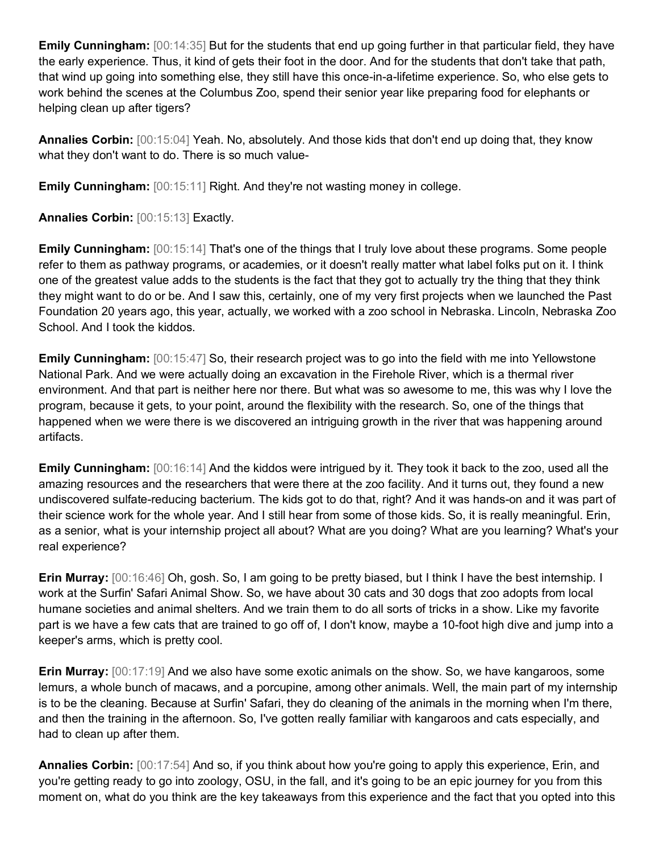**Emily Cunningham:** [00:14:35] But for the students that end up going further in that particular field, they have the early experience. Thus, it kind of gets their foot in the door. And for the students that don't take that path, that wind up going into something else, they still have this once-in-a-lifetime experience. So, who else gets to work behind the scenes at the Columbus Zoo, spend their senior year like preparing food for elephants or helping clean up after tigers?

**Annalies Corbin:** [00:15:04] Yeah. No, absolutely. And those kids that don't end up doing that, they know what they don't want to do. There is so much value-

**Emily Cunningham:** [00:15:11] Right. And they're not wasting money in college.

**Annalies Corbin:** [00:15:13] Exactly.

**Emily Cunningham:**  $[00:15:14]$  That's one of the things that I truly love about these programs. Some people refer to them as pathway programs, or academies, or it doesn't really matter what label folks put on it. I think one of the greatest value adds to the students is the fact that they got to actually try the thing that they think they might want to do or be. And I saw this, certainly, one of my very first projects when we launched the Past Foundation 20 years ago, this year, actually, we worked with a zoo school in Nebraska. Lincoln, Nebraska Zoo School. And I took the kiddos.

**Emily Cunningham:**  $[00:15:47]$  So, their research project was to go into the field with me into Yellowstone National Park. And we were actually doing an excavation in the Firehole River, which is a thermal river environment. And that part is neither here nor there. But what was so awesome to me, this was why I love the program, because it gets, to your point, around the flexibility with the research. So, one of the things that happened when we were there is we discovered an intriguing growth in the river that was happening around artifacts.

**Emily Cunningham:**  $[00:16:14]$  And the kiddos were intrigued by it. They took it back to the zoo, used all the amazing resources and the researchers that were there at the zoo facility. And it turns out, they found a new undiscovered sulfate-reducing bacterium. The kids got to do that, right? And it was hands-on and it was part of their science work for the whole year. And I still hear from some of those kids. So, it is really meaningful. Erin, as a senior, what is your internship project all about? What are you doing? What are you learning? What's your real experience?

**Erin Murray:** [00:16:46] Oh, gosh. So, I am going to be pretty biased, but I think I have the best internship. I work at the Surfin' Safari Animal Show. So, we have about 30 cats and 30 dogs that zoo adopts from local humane societies and animal shelters. And we train them to do all sorts of tricks in a show. Like my favorite part is we have a few cats that are trained to go off of, I don't know, maybe a 10-foot high dive and jump into a keeper's arms, which is pretty cool.

**Erin Murray:** [00:17:19] And we also have some exotic animals on the show. So, we have kangaroos, some lemurs, a whole bunch of macaws, and a porcupine, among other animals. Well, the main part of my internship is to be the cleaning. Because at Surfin' Safari, they do cleaning of the animals in the morning when I'm there, and then the training in the afternoon. So, I've gotten really familiar with kangaroos and cats especially, and had to clean up after them.

**Annalies Corbin:** [00:17:54] And so, if you think about how you're going to apply this experience, Erin, and you're getting ready to go into zoology, OSU, in the fall, and it's going to be an epic journey for you from this moment on, what do you think are the key takeaways from this experience and the fact that you opted into this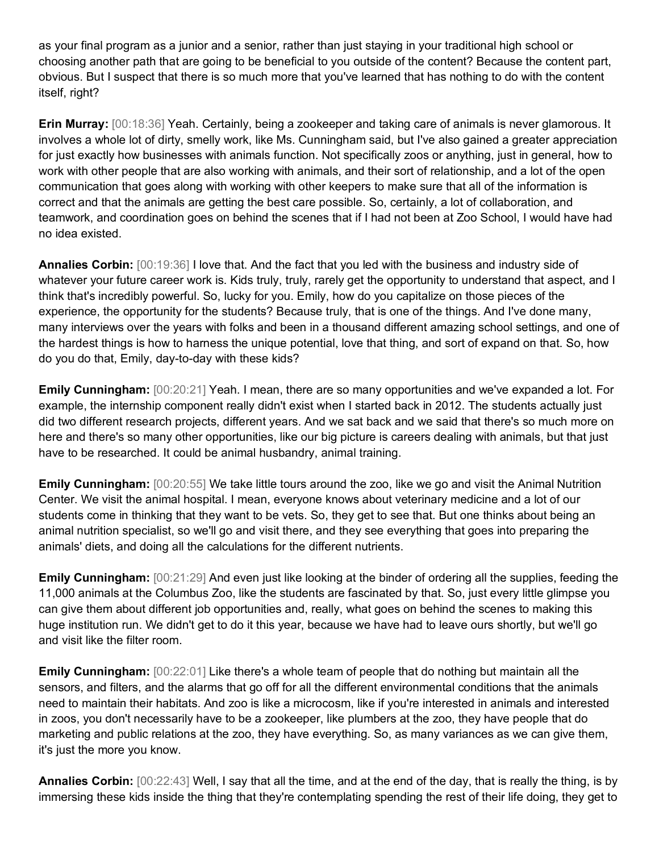as your final program as a junior and a senior, rather than just staying in your traditional high school or choosing another path that are going to be beneficial to you outside of the content? Because the content part, obvious. But I suspect that there is so much more that you've learned that has nothing to do with the content itself, right?

**Erin Murray:** [00:18:36] Yeah. Certainly, being a zookeeper and taking care of animals is never glamorous. It involves a whole lot of dirty, smelly work, like Ms. Cunningham said, but I've also gained a greater appreciation for just exactly how businesses with animals function. Not specifically zoos or anything, just in general, how to work with other people that are also working with animals, and their sort of relationship, and a lot of the open communication that goes along with working with other keepers to make sure that all of the information is correct and that the animals are getting the best care possible. So, certainly, a lot of collaboration, and teamwork, and coordination goes on behind the scenes that if I had not been at Zoo School, I would have had no idea existed.

**Annalies Corbin:** [00:19:36] I love that. And the fact that you led with the business and industry side of whatever your future career work is. Kids truly, truly, rarely get the opportunity to understand that aspect, and I think that's incredibly powerful. So, lucky for you. Emily, how do you capitalize on those pieces of the experience, the opportunity for the students? Because truly, that is one of the things. And I've done many, many interviews over the years with folks and been in a thousand different amazing school settings, and one of the hardest things is how to harness the unique potential, love that thing, and sort of expand on that. So, how do you do that, Emily, day-to-day with these kids?

**Emily Cunningham:** [00:20:21] Yeah. I mean, there are so many opportunities and we've expanded a lot. For example, the internship component really didn't exist when I started back in 2012. The students actually just did two different research projects, different years. And we sat back and we said that there's so much more on here and there's so many other opportunities, like our big picture is careers dealing with animals, but that just have to be researched. It could be animal husbandry, animal training.

**Emily Cunningham:**  $[00:20:55]$  We take little tours around the zoo, like we go and visit the Animal Nutrition Center. We visit the animal hospital. I mean, everyone knows about veterinary medicine and a lot of our students come in thinking that they want to be vets. So, they get to see that. But one thinks about being an animal nutrition specialist, so we'll go and visit there, and they see everything that goes into preparing the animals' diets, and doing all the calculations for the different nutrients.

**Emily Cunningham:**  $[00:21:29]$  And even just like looking at the binder of ordering all the supplies, feeding the 11,000 animals at the Columbus Zoo, like the students are fascinated by that. So, just every little glimpse you can give them about different job opportunities and, really, what goes on behind the scenes to making this huge institution run. We didn't get to do it this year, because we have had to leave ours shortly, but we'll go and visit like the filter room.

**Emily Cunningham:** [00:22:01] Like there's a whole team of people that do nothing but maintain all the sensors, and filters, and the alarms that go off for all the different environmental conditions that the animals need to maintain their habitats. And zoo is like a microcosm, like if you're interested in animals and interested in zoos, you don't necessarily have to be a zookeeper, like plumbers at the zoo, they have people that do marketing and public relations at the zoo, they have everything. So, as many variances as we can give them, it's just the more you know.

**Annalies Corbin:** [00:22:43] Well, I say that all the time, and at the end of the day, that is really the thing, is by immersing these kids inside the thing that they're contemplating spending the rest of their life doing, they get to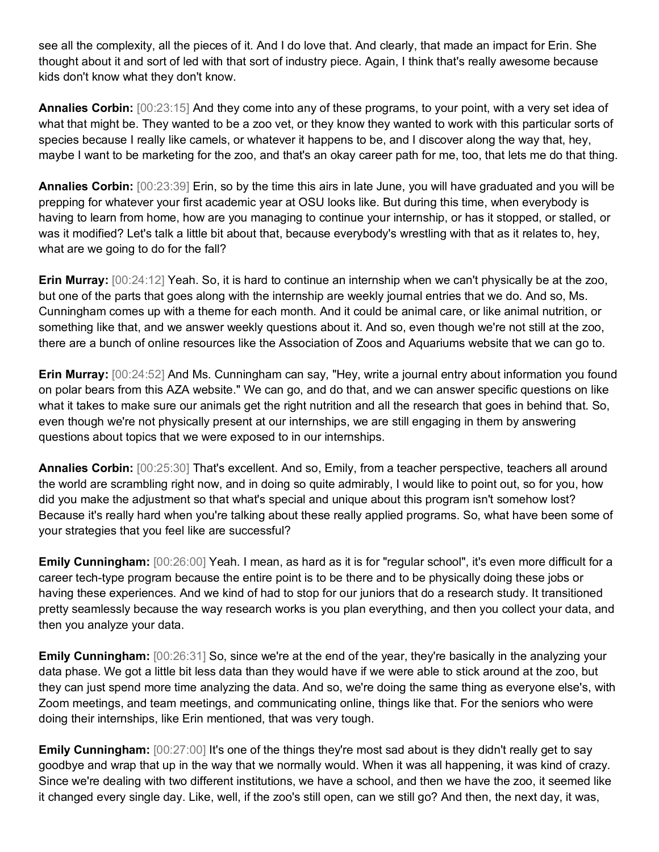see all the complexity, all the pieces of it. And I do love that. And clearly, that made an impact for Erin. She thought about it and sort of led with that sort of industry piece. Again, I think that's really awesome because kids don't know what they don't know.

**Annalies Corbin:** [00:23:15] And they come into any of these programs, to your point, with a very set idea of what that might be. They wanted to be a zoo vet, or they know they wanted to work with this particular sorts of species because I really like camels, or whatever it happens to be, and I discover along the way that, hey, maybe I want to be marketing for the zoo, and that's an okay career path for me, too, that lets me do that thing.

**Annalies Corbin:** [00:23:39] Erin, so by the time this airs in late June, you will have graduated and you will be prepping for whatever your first academic year at OSU looks like. But during this time, when everybody is having to learn from home, how are you managing to continue your internship, or has it stopped, or stalled, or was it modified? Let's talk a little bit about that, because everybody's wrestling with that as it relates to, hey, what are we going to do for the fall?

**Erin Murray:** [00:24:12] Yeah. So, it is hard to continue an internship when we can't physically be at the zoo, but one of the parts that goes along with the internship are weekly journal entries that we do. And so, Ms. Cunningham comes up with a theme for each month. And it could be animal care, or like animal nutrition, or something like that, and we answer weekly questions about it. And so, even though we're not still at the zoo, there are a bunch of online resources like the Association of Zoos and Aquariums website that we can go to.

**Erin Murray:** [00:24:52] And Ms. Cunningham can say, "Hey, write a journal entry about information you found on polar bears from this AZA website." We can go, and do that, and we can answer specific questions on like what it takes to make sure our animals get the right nutrition and all the research that goes in behind that. So, even though we're not physically present at our internships, we are still engaging in them by answering questions about topics that we were exposed to in our internships.

**Annalies Corbin:** [00:25:30] That's excellent. And so, Emily, from a teacher perspective, teachers all around the world are scrambling right now, and in doing so quite admirably, I would like to point out, so for you, how did you make the adjustment so that what's special and unique about this program isn't somehow lost? Because it's really hard when you're talking about these really applied programs. So, what have been some of your strategies that you feel like are successful?

**Emily Cunningham:** [00:26:00] Yeah. I mean, as hard as it is for "regular school", it's even more difficult for a career tech-type program because the entire point is to be there and to be physically doing these jobs or having these experiences. And we kind of had to stop for our juniors that do a research study. It transitioned pretty seamlessly because the way research works is you plan everything, and then you collect your data, and then you analyze your data.

**Emily Cunningham:**  $[00:26:31]$  So, since we're at the end of the year, they're basically in the analyzing your data phase. We got a little bit less data than they would have if we were able to stick around at the zoo, but they can just spend more time analyzing the data. And so, we're doing the same thing as everyone else's, with Zoom meetings, and team meetings, and communicating online, things like that. For the seniors who were doing their internships, like Erin mentioned, that was very tough.

**Emily Cunningham:**  $[00:27:00]$  It's one of the things they're most sad about is they didn't really get to say goodbye and wrap that up in the way that we normally would. When it was all happening, it was kind of crazy. Since we're dealing with two different institutions, we have a school, and then we have the zoo, it seemed like it changed every single day. Like, well, if the zoo's still open, can we still go? And then, the next day, it was,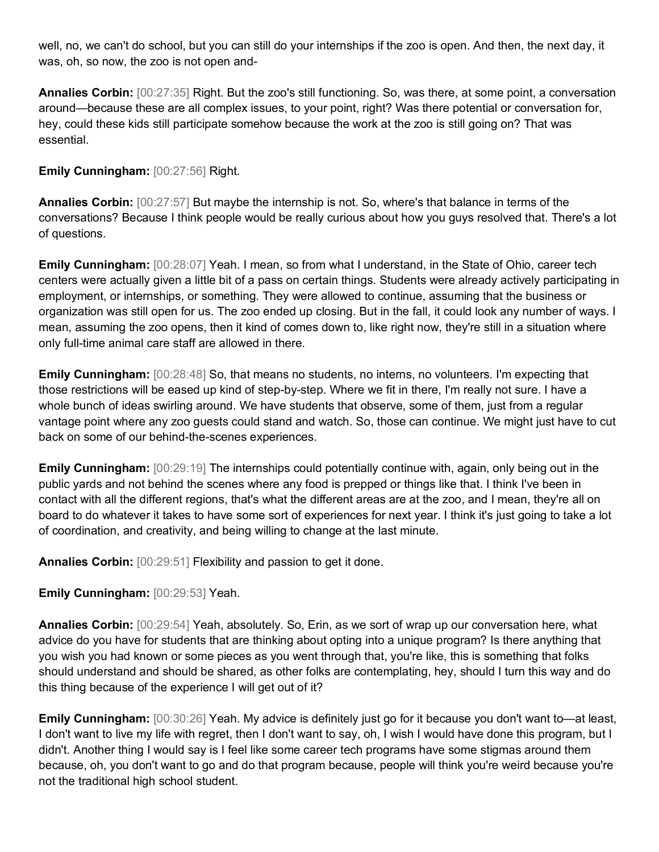well, no, we can't do school, but you can still do your internships if the zoo is open. And then, the next day, it was, oh, so now, the zoo is not open and-

**Annalies Corbin:** [00:27:35] Right. But the zoo's still functioning. So, was there, at some point, a conversation around—because these are all complex issues, to your point, right? Was there potential or conversation for, hey, could these kids still participate somehow because the work at the zoo is still going on? That was essential.

## **Emily Cunningham:** [00:27:56] Right.

**Annalies Corbin:** [00:27:57] But maybe the internship is not. So, where's that balance in terms of the conversations? Because I think people would be really curious about how you guys resolved that. There's a lot of questions.

**Emily Cunningham:** [00:28:07] Yeah. I mean, so from what I understand, in the State of Ohio, career tech centers were actually given a little bit of a pass on certain things. Students were already actively participating in employment, or internships, or something. They were allowed to continue, assuming that the business or organization was still open for us. The zoo ended up closing. But in the fall, it could look any number of ways. I mean, assuming the zoo opens, then it kind of comes down to, like right now, they're still in a situation where only full-time animal care staff are allowed in there.

**Emily Cunningham:** [00:28:48] So, that means no students, no interns, no volunteers. I'm expecting that those restrictions will be eased up kind of step-by-step. Where we fit in there, I'm really not sure. I have a whole bunch of ideas swirling around. We have students that observe, some of them, just from a regular vantage point where any zoo guests could stand and watch. So, those can continue. We might just have to cut back on some of our behind-the-scenes experiences.

**Emily Cunningham:**  $[00:29:19]$  The internships could potentially continue with, again, only being out in the public yards and not behind the scenes where any food is prepped or things like that. I think I've been in contact with all the different regions, that's what the different areas are at the zoo, and I mean, they're all on board to do whatever it takes to have some sort of experiences for next year. I think it's just going to take a lot of coordination, and creativity, and being willing to change at the last minute.

**Annalies Corbin:** [00:29:51] Flexibility and passion to get it done.

## **Emily Cunningham:** [00:29:53] Yeah.

**Annalies Corbin:** [00:29:54] Yeah, absolutely. So, Erin, as we sort of wrap up our conversation here, what advice do you have for students that are thinking about opting into a unique program? Is there anything that you wish you had known or some pieces as you went through that, you're like, this is something that folks should understand and should be shared, as other folks are contemplating, hey, should I turn this way and do this thing because of the experience I will get out of it?

**Emily Cunningham:**  $[00:30:26]$  Yeah. My advice is definitely just go for it because you don't want to—at least, I don't want to live my life with regret, then I don't want to say, oh, I wish I would have done this program, but I didn't. Another thing I would say is I feel like some career tech programs have some stigmas around them because, oh, you don't want to go and do that program because, people will think you're weird because you're not the traditional high school student.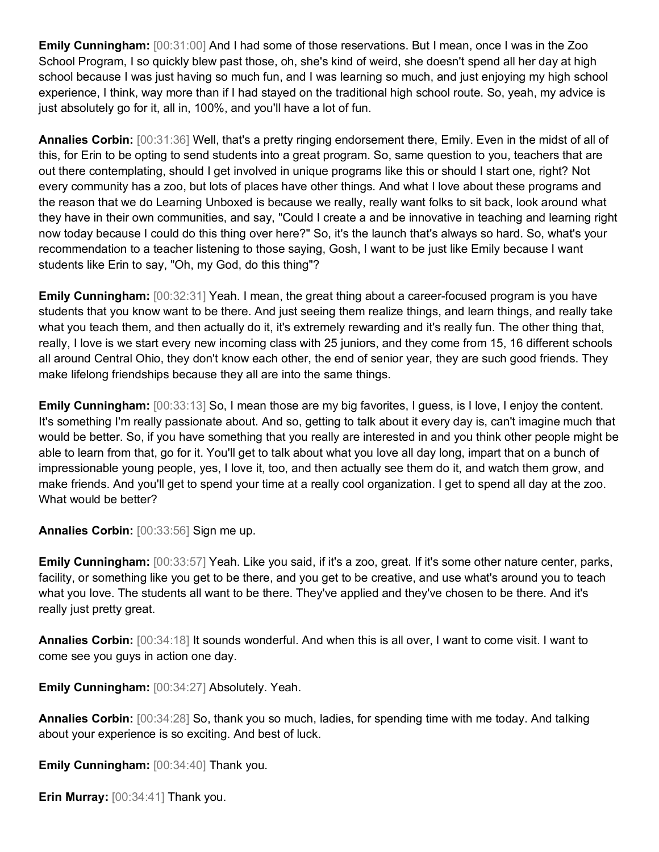**Emily Cunningham:** [00:31:00] And I had some of those reservations. But I mean, once I was in the Zoo School Program, I so quickly blew past those, oh, she's kind of weird, she doesn't spend all her day at high school because I was just having so much fun, and I was learning so much, and just enjoying my high school experience, I think, way more than if I had stayed on the traditional high school route. So, yeah, my advice is just absolutely go for it, all in, 100%, and you'll have a lot of fun.

**Annalies Corbin:** [00:31:36] Well, that's a pretty ringing endorsement there, Emily. Even in the midst of all of this, for Erin to be opting to send students into a great program. So, same question to you, teachers that are out there contemplating, should I get involved in unique programs like this or should I start one, right? Not every community has a zoo, but lots of places have other things. And what I love about these programs and the reason that we do Learning Unboxed is because we really, really want folks to sit back, look around what they have in their own communities, and say, "Could I create a and be innovative in teaching and learning right now today because I could do this thing over here?" So, it's the launch that's always so hard. So, what's your recommendation to a teacher listening to those saying, Gosh, I want to be just like Emily because I want students like Erin to say, "Oh, my God, do this thing"?

**Emily Cunningham:** [00:32:31] Yeah. I mean, the great thing about a career-focused program is you have students that you know want to be there. And just seeing them realize things, and learn things, and really take what you teach them, and then actually do it, it's extremely rewarding and it's really fun. The other thing that, really, I love is we start every new incoming class with 25 juniors, and they come from 15, 16 different schools all around Central Ohio, they don't know each other, the end of senior year, they are such good friends. They make lifelong friendships because they all are into the same things.

**Emily Cunningham:**  $[00:33:13]$  So, I mean those are my big favorites, I guess, is I love, I enjoy the content. It's something I'm really passionate about. And so, getting to talk about it every day is, can't imagine much that would be better. So, if you have something that you really are interested in and you think other people might be able to learn from that, go for it. You'll get to talk about what you love all day long, impart that on a bunch of impressionable young people, yes, I love it, too, and then actually see them do it, and watch them grow, and make friends. And you'll get to spend your time at a really cool organization. I get to spend all day at the zoo. What would be better?

**Annalies Corbin:** [00:33:56] Sign me up.

**Emily Cunningham:** [00:33:57] Yeah. Like you said, if it's a zoo, great. If it's some other nature center, parks, facility, or something like you get to be there, and you get to be creative, and use what's around you to teach what you love. The students all want to be there. They've applied and they've chosen to be there. And it's really just pretty great.

**Annalies Corbin:** [00:34:18] It sounds wonderful. And when this is all over, I want to come visit. I want to come see you guys in action one day.

**Emily Cunningham:** [00:34:27] Absolutely. Yeah.

**Annalies Corbin:** [00:34:28] So, thank you so much, ladies, for spending time with me today. And talking about your experience is so exciting. And best of luck.

**Emily Cunningham:** [00:34:40] Thank you.

**Erin Murray:** [00:34:41] Thank you.